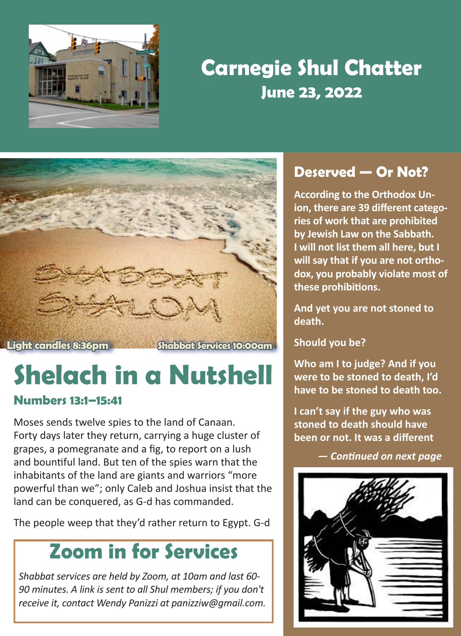

## **Carnegie Shul Chatter June 23, 2022**



# **Shelach in a Nutshell**

### **Numbers 13:1–15:41**

Moses sends twelve spies to the land of Canaan. Forty days later they return, carrying a huge cluster of grapes, a pomegranate and a fig, to report on a lush and bountiful land. But ten of the spies warn that the inhabitants of the land are giants and warriors "more powerful than we"; only Caleb and Joshua insist that the land can be conquered, as G‑d has commanded.

The people weep that they'd rather return to Egypt. G‑d

### **Zoom in for Services**

*Shabbat services are held by Zoom, at 10am and last 60- 90 minutes. A link is sent to all Shul members; if you don't receive it, contact Wendy Panizzi at panizziw@gmail.com.*

### **Deserved — Or Not?**

**According to the Orthodox Union, there are 39 different categories of work that are prohibited by Jewish Law on the Sabbath. I will not list them all here, but I will say that if you are not orthodox, you probably violate most of these prohibitions.** 

**And yet you are not stoned to death.**

**Should you be?**

**Who am I to judge? And if you were to be stoned to death, I'd have to be stoned to death too.**

**I can't say if the guy who was stoned to death should have been or not. It was a different** 

 *— Continued on next page*

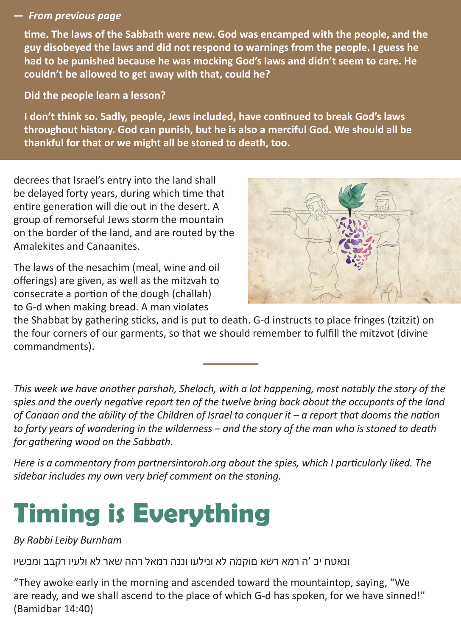#### *— From previous page*

**time. The laws of the Sabbath were new. God was encamped with the people, and the guy disobeyed the laws and did not respond to warnings from the people. I guess he had to be punished because he was mocking God's laws and didn't seem to care. He couldn't be allowed to get away with that, could he?**

**Did the people learn a lesson?**

**I don't think so. Sadly, people, Jews included, have continued to break God's laws throughout history. God can punish, but he is also a merciful God. We should all be thankful for that or we might all be stoned to death, too.**

decrees that Israel's entry into the land shall be delayed forty years, during which time that entire generation will die out in the desert. A group of remorseful Jews storm the mountain on the border of the land, and are routed by the Amalekites and Canaanites.

The laws of the nesachim (meal, wine and oil offerings) are given, as well as the mitzvah to consecrate a portion of the dough (challah) to G‑d when making bread. A man violates



the Shabbat by gathering sticks, and is put to death. G‑d instructs to place fringes (tzitzit) on the four corners of our garments, so that we should remember to fulfill the mitzvot (divine commandments).

*This week we have another parshah, Shelach, with a lot happening, most notably the story of the spies and the overly negative report ten of the twelve bring back about the occupants of the land of Canaan and the ability of the Children of Israel to conquer it – a report that dooms the nation to forty years of wandering in the wilderness – and the story of the man who is stoned to death for gathering wood on the Sabbath.*

*Here is a commentary from partnersintorah.org about the spies, which I particularly liked. The sidebar includes my own very brief comment on the stoning.*

# **Timing is Everything**

*By Rabbi Leiby Burnham*

ונאטח יכ 'ה רמא רשא םוקמה לא ונילעו וננה רמאל רהה שאר לא ולעיו רקבב ומכשיו

"They awoke early in the morning and ascended toward the mountaintop, saying, "We are ready, and we shall ascend to the place of which G-d has spoken, for we have sinned!" (Bamidbar 14:40)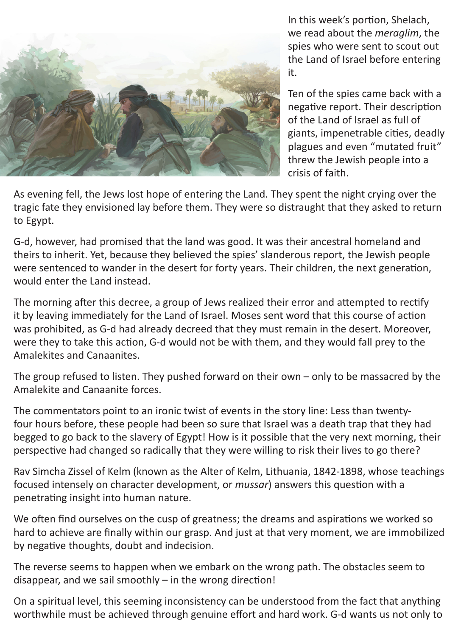

In this week's portion, Shelach, we read about the *meraglim*, the spies who were sent to scout out the Land of Israel before entering it.

Ten of the spies came back with a negative report. Their description of the Land of Israel as full of giants, impenetrable cities, deadly plagues and even "mutated fruit" threw the Jewish people into a crisis of faith.

As evening fell, the Jews lost hope of entering the Land. They spent the night crying over the tragic fate they envisioned lay before them. They were so distraught that they asked to return to Egypt.

G-d, however, had promised that the land was good. It was their ancestral homeland and theirs to inherit. Yet, because they believed the spies' slanderous report, the Jewish people were sentenced to wander in the desert for forty years. Their children, the next generation, would enter the Land instead.

The morning after this decree, a group of Jews realized their error and attempted to rectify it by leaving immediately for the Land of Israel. Moses sent word that this course of action was prohibited, as G-d had already decreed that they must remain in the desert. Moreover, were they to take this action, G-d would not be with them, and they would fall prey to the Amalekites and Canaanites.

The group refused to listen. They pushed forward on their own – only to be massacred by the Amalekite and Canaanite forces.

The commentators point to an ironic twist of events in the story line: Less than twentyfour hours before, these people had been so sure that Israel was a death trap that they had begged to go back to the slavery of Egypt! How is it possible that the very next morning, their perspective had changed so radically that they were willing to risk their lives to go there?

Rav Simcha Zissel of Kelm (known as the Alter of Kelm, Lithuania, 1842-1898, whose teachings focused intensely on character development, or *mussar*) answers this question with a penetrating insight into human nature.

We often find ourselves on the cusp of greatness; the dreams and aspirations we worked so hard to achieve are finally within our grasp. And just at that very moment, we are immobilized by negative thoughts, doubt and indecision.

The reverse seems to happen when we embark on the wrong path. The obstacles seem to disappear, and we sail smoothly – in the wrong direction!

On a spiritual level, this seeming inconsistency can be understood from the fact that anything worthwhile must be achieved through genuine effort and hard work. G-d wants us not only to